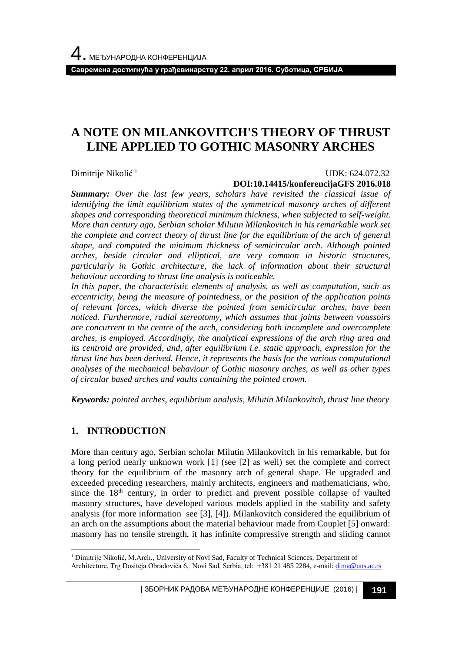**Савремена достигнућа у грађевинарству 22. април 2016. Суботица, СРБИЈА**

# **A NOTE ON MILANKOVITCH'S THEORY OF THRUST LINE APPLIED TO GOTHIC MASONRY ARCHES**

Dimitrije Nikolić<sup>1</sup>

#### UDK: 624.072.32 **DOI:10.14415/konferencijaGFS 2016.018**

*Summary: Over the last few years, scholars have revisited the classical issue of identifying the limit equilibrium states of the symmetrical masonry arches of different shapes and corresponding theoretical minimum thickness, when subjected to self-weight. More than century ago, Serbian scholar Milutin Milankovitch in his remarkable work set the complete and correct theory of thrust line for the equilibrium of the arch of general shape, and computed the minimum thickness of semicircular arch. Although pointed arches, beside circular and elliptical, are very common in historic structures, particularly in Gothic architecture, the lack of information about their structural behaviour according to thrust line analysis is noticeable.*

*In this paper, the characteristic elements of analysis, as well as computation, such as eccentricity, being the measure of pointedness, or the position of the application points of relevant forces, which diverse the pointed from semicircular arches, have been noticed. Furthermore, radial stereotomy, which assumes that joints between voussoirs are concurrent to the centre of the arch, considering both incomplete and overcomplete arches, is employed. Accordingly, the analytical expressions of the arch ring area and its centroid are provided, and, after equilibrium i.e. static approach, expression for the thrust line has been derived. Hence, it represents the basis for the various computational analyses of the mechanical behaviour of Gothic masonry arches, as well as other types of circular based arches and vaults containing the pointed crown.*

*Keywords: pointed arches, equilibrium analysis, Milutin Milankovitch, thrust line theory*

## **1. INTRODUCTION**

More than century ago, Serbian scholar Milutin Milankovitch in his remarkable, but for a long period nearly unknown work [1] (see [2] as well) set the complete and correct theory for the equilibrium of the masonry arch of general shape. He upgraded and exceeded preceding researchers, mainly architects, engineers and mathematicians, who, since the  $18<sup>th</sup>$  century, in order to predict and prevent possible collapse of vaulted masonry structures, have developed various models applied in the stability and safety analysis (for more information see [3], [4]). Milankovitch considered the equilibrium of an arch on the assumptions about the material behaviour made from Couplet [5] onward: masonry has no tensile strength, it has infinite compressive strength and sliding cannot

l <sup>1</sup> Dimitrije Nikolić, M.Arch., University of Novi Sad, Faculty of Technical Sciences, Department of

Architecture, Trg Dositeja Obradovića 6, Novi Sad, Serbia, tel: +381 21 485 2284, e-mail[: dima@uns.ac.rs](mailto:dima@uns.ac.rs)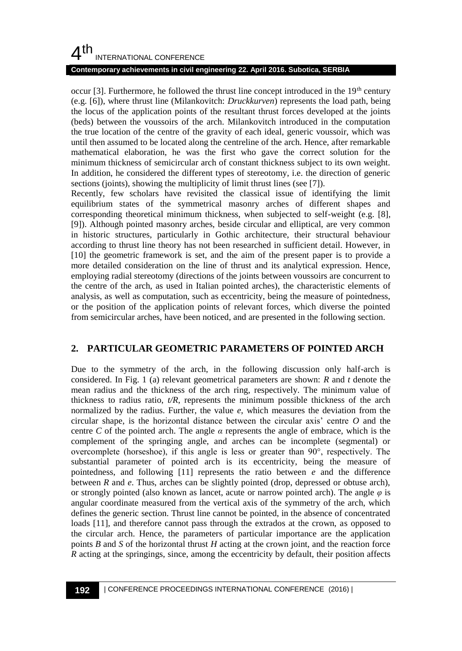# $4<sup>th</sup>$ INTERNATIONAL CONFERENCE

#### **Contemporary achievements in civil engineering 22. April 2016. Subotica, SERBIA**

occur  $[3]$ . Furthermore, he followed the thrust line concept introduced in the 19<sup>th</sup> century (e.g. [6]), where thrust line (Milankovitch: *Druckkurven*) represents the load path, being the locus of the application points of the resultant thrust forces developed at the joints (beds) between the voussoirs of the arch. Milankovitch introduced in the computation the true location of the centre of the gravity of each ideal, generic voussoir, which was until then assumed to be located along the centreline of the arch. Hence, after remarkable mathematical elaboration, he was the first who gave the correct solution for the minimum thickness of semicircular arch of constant thickness subject to its own weight. In addition, he considered the different types of stereotomy, i.e. the direction of generic sections (joints), showing the multiplicity of limit thrust lines (see [7]).

Recently, few scholars have revisited the classical issue of identifying the limit equilibrium states of the symmetrical masonry arches of different shapes and corresponding theoretical minimum thickness, when subjected to self-weight (e.g. [8], [9]). Although pointed masonry arches, beside circular and elliptical, are very common in historic structures, particularly in Gothic architecture, their structural behaviour according to thrust line theory has not been researched in sufficient detail. However, in [10] the geometric framework is set, and the aim of the present paper is to provide a more detailed consideration on the line of thrust and its analytical expression. Hence, employing radial stereotomy (directions of the joints between voussoirs are concurrent to the centre of the arch, as used in Italian pointed arches), the characteristic elements of analysis, as well as computation, such as eccentricity, being the measure of pointedness, or the position of the application points of relevant forces, which diverse the pointed from semicircular arches, have been noticed, and are presented in the following section.

## **2. PARTICULAR GEOMETRIC PARAMETERS OF POINTED ARCH**

Due to the symmetry of the arch, in the following discussion only half-arch is considered. In Fig. 1 (a) relevant geometrical parameters are shown: *R* and *t* denote the mean radius and the thickness of the arch ring, respectively. The minimum value of thickness to radius ratio, *t/R*, represents the minimum possible thickness of the arch normalized by the radius. Further, the value *e*, which measures the deviation from the circular shape, is the horizontal distance between the circular axis' centre *O* and the centre *C* of the pointed arch. The angle  $\alpha$  represents the angle of embrace, which is the complement of the springing angle, and arches can be incomplete (segmental) or overcomplete (horseshoe), if this angle is less or greater than 90°, respectively. The substantial parameter of pointed arch is its eccentricity, being the measure of pointedness, and following [11] represents the ratio between *e* and the difference between *R* and *e*. Thus, arches can be slightly pointed (drop, depressed or obtuse arch), or strongly pointed (also known as lancet, acute or narrow pointed arch). The angle *φ* is angular coordinate measured from the vertical axis of the symmetry of the arch, which defines the generic section. Thrust line cannot be pointed, in the absence of concentrated loads [11], and therefore cannot pass through the extrados at the crown, as opposed to the circular arch. Hence, the parameters of particular importance are the application points *B* and *S* of the horizontal thrust *H* acting at the crown joint, and the reaction force *R* acting at the springings, since, among the eccentricity by default, their position affects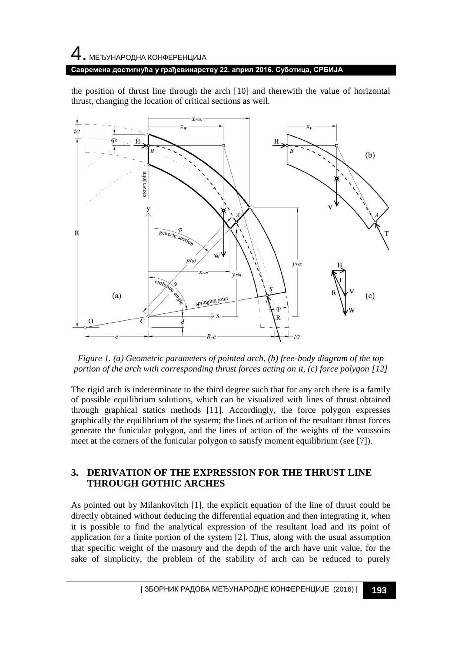# 4. МЕЂУНАРОДНА КОНФЕРЕНЦИЈА **Савремена достигнућа у грађевинарству 22. април 2016. Суботица, СРБИЈА**

the position of thrust line through the arch [10] and therewith the value of horizontal thrust, changing the location of critical sections as well.



*Figure 1. (a) Geometric parameters of pointed arch, (b) free-body diagram of the top portion of the arch with corresponding thrust forces acting on it, (c) force polygon [12]*

The rigid arch is indeterminate to the third degree such that for any arch there is a family of possible equilibrium solutions, which can be visualized with lines of thrust obtained through graphical statics methods [11]. Accordingly, the force polygon expresses graphically the equilibrium of the system; the lines of action of the resultant thrust forces generate the funicular polygon, and the lines of action of the weights of the voussoirs meet at the corners of the funicular polygon to satisfy moment equilibrium (see [7]).

## **3. DERIVATION OF THE EXPRESSION FOR THE THRUST LINE THROUGH GOTHIC ARCHES**

As pointed out by Milankovitch [1], the explicit equation of the line of thrust could be directly obtained without deducing the differential equation and then integrating it, when it is possible to find the analytical expression of the resultant load and its point of application for a finite portion of the system [2]. Thus, along with the usual assumption that specific weight of the masonry and the depth of the arch have unit value, for the sake of simplicity, the problem of the stability of arch can be reduced to purely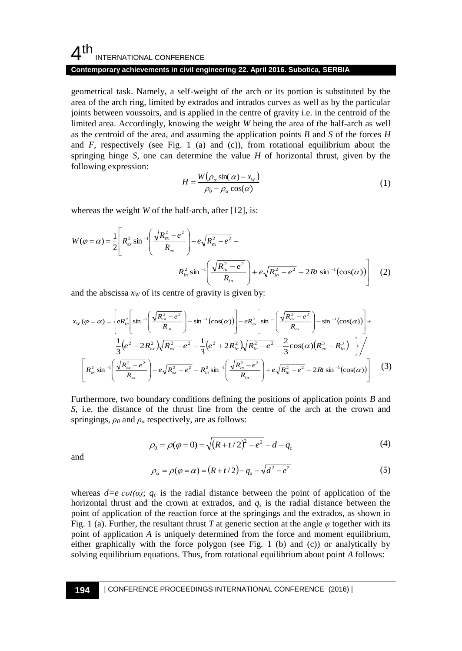## $4<sup>th</sup>$ INTERNATIONAL CONFERENCE

### **Contemporary achievements in civil engineering 22. April 2016. Subotica, SERBIA**

geometrical task. Namely, a self-weight of the arch or its portion is substituted by the area of the arch ring, limited by extrados and intrados curves as well as by the particular joints between voussoirs, and is applied in the centre of gravity i.e. in the centroid of the limited area. Accordingly, knowing the weight *W* being the area of the half-arch as well as the centroid of the area, and assuming the application points *B* and *S* of the forces *H* and  $F$ , respectively (see Fig. 1 (a) and (c)), from rotational equilibrium about the springing hinge *S*, one can determine the value *H* of horizontal thrust, given by the following expression:

$$
H = \frac{W(\rho_{\alpha}\sin(\alpha) - x_{w})}{\rho_{0} - \rho_{\alpha}\cos(\alpha)}
$$
 (1)

whereas the weight *W* of the half-arch, after [12], is:

$$
W(\varphi = \alpha) = \frac{1}{2} \left[ R_{ex}^{2} \sin^{-1} \left( \frac{\sqrt{R_{ex}^{2} - e^{2}}}{R_{ex}} \right) - e \sqrt{R_{ex}^{2} - e^{2}} - R_{in}^{2} \sin^{-1} \left( \frac{\sqrt{R_{in}^{2} - e^{2}}}{R_{in}} \right) + e \sqrt{R_{in}^{2} - e^{2}} - 2Rt \sin^{-1} (\cos(\alpha)) \right] \quad (2)
$$

and the abscissa  $x_W$  of its centre of gravity is given by:

$$
x_{w}(\varphi = \alpha) = \left\{ eR_{in}^{2} \left[ \sin^{-1} \left( \frac{\sqrt{R_{in}^{2} - e^{2}}}{R_{in}} \right) - \sin^{-1}(\cos(\alpha)) \right] - eR_{ex}^{2} \left[ \sin^{-1} \left( \frac{\sqrt{R_{ex}^{2} - e^{2}}}{R_{ex}} \right) - \sin^{-1}(\cos(\alpha)) \right] + \frac{1}{3} \left( e^{2} - 2R_{ex}^{2} \sqrt{R_{ex}^{2} - e^{2}} - \frac{1}{3} \left( e^{2} + 2R_{in}^{2} \sqrt{R_{in}^{2} - e^{2}} - \frac{2}{3} \cos(\alpha) \left( R_{ex}^{3} - R_{in}^{3} \right) \right) \right/ \frac{1}{3} \left[ R_{ex}^{2} \sin^{-1} \left( \frac{\sqrt{R_{ex}^{2} - e^{2}}}{R_{ex}} \right) - e\sqrt{R_{ex}^{2} - e^{2}} - R_{in}^{2} \sin^{-1} \left( \frac{\sqrt{R_{in}^{2} - e^{2}}}{R_{in}} \right) + e\sqrt{R_{in}^{2} - e^{2}} - 2Rt \sin^{-1}(\cos(\alpha)) \right] \right\}
$$
(3)

Furthermore, two boundary conditions defining the positions of application points *B* and *S*, i.e. the distance of the thrust line from the centre of the arch at the crown and springings, *ρ<sup>0</sup>* and *ρ<sup>α</sup>* respectively, are as follows:

$$
\rho_0 = \rho(\varphi = 0) = \sqrt{(R + t/2)^2 - e^2} - d - q_c \tag{4}
$$

and

$$
\rho_{\alpha} = \rho(\varphi = \alpha) = (R + t/2) - q_s - \sqrt{d^2 - e^2}
$$
\n(5)

whereas  $d=e\cot(\alpha)$ ;  $q_c$  is the radial distance between the point of application of the horizontal thrust and the crown at extrados, and *q<sup>s</sup>* is the radial distance between the point of application of the reaction force at the springings and the extrados, as shown in Fig. 1 (a). Further, the resultant thrust *T* at generic section at the angle  $\varphi$  together with its point of application *A* is uniquely determined from the force and moment equilibrium, either graphically with the force polygon (see Fig. 1 (b) and (c)) or analytically by solving equilibrium equations. Thus, from rotational equilibrium about point *A* follows: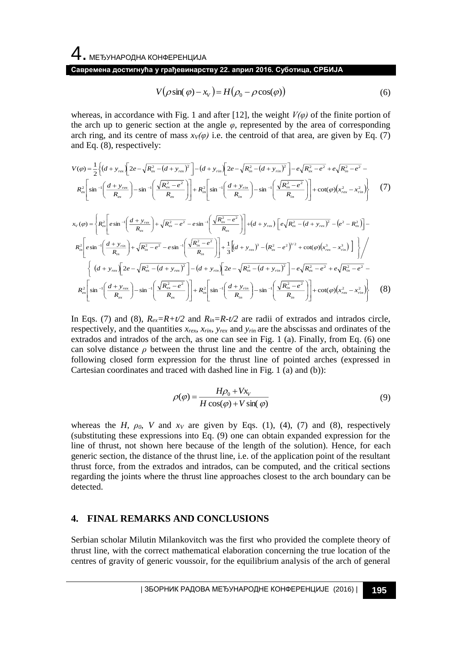4. МЕЂУНАРОДНА КОНФЕРЕНЦИЈА

#### **Савремена достигнућа у грађевинарству 22. април 2016. Суботица, СРБИЈА**

$$
V(\rho \sin(\varphi) - x_v) = H(\rho_0 - \rho \cos(\varphi))
$$
\n(6)

whereas, in accordance with Fig. 1 and after [12], the weight  $V(\varphi)$  of the finite portion of the arch up to generic section at the angle  $\varphi$ , represented by the area of corresponding arch ring, and its centre of mass  $x_V(\varphi)$  i.e. the centroid of that area, are given by Eq. (7) and Eq. (8), respectively:

$$
V(\varphi) = \frac{1}{2} \left\{ (d + y_{\text{rex}}) \left[ 2e^{-\sqrt{R_{\text{ex}}^2 - (d + y_{\text{rx}})^2}} \right] - (d + y_{\text{rin}}) \left[ 2e^{-\sqrt{R_{\text{in}}^2 - (d + y_{\text{rin}})^2}} \right] - e^{\sqrt{R_{\text{ex}}^2 - e^2}} + e^{\sqrt{R_{\text{in}}^2 - e^2}} - R_{\text{in}}^2 \left[ \sin^{-1} \left( \frac{d + y_{\text{rex}}}{R_{\text{ex}}} \right) - \sin^{-1} \left( \frac{\sqrt{R_{\text{ex}}^2 - e^2}}{R_{\text{ex}}} \right) \right] + R_{\text{in}}^2 \left[ \sin^{-1} \left( \frac{d + y_{\text{rin}}}{R_{\text{in}}} \right) - \sin^{-1} \left( \frac{\sqrt{R_{\text{in}}^2 - e^2}}{R_{\text{in}}} \right) \right] + \cot(\varphi) (x_{\text{rex}}^2 - x_{\text{rin}}^2) \right\}
$$
(7)

$$
V(\rho \sin(\varphi) - x_v) = H(\rho_0 - \rho \cos(\varphi))
$$
 (6)  
whereas, in accordance with Fig. 1 and after [12], the weight  $V(\varphi)$  of the finite portion of  
the arch up to generic section at the angle  $\varphi$ , represented by the area of corresponding  
arching, and its centre of mass  $sv(\varphi)$  i.e. the centroid of that area, are given by Eq. (7)  

$$
V(\varphi) = \frac{1}{2} \left\{ (d + y_{xx}) \left[ 2e^{-\sqrt{R_{\alpha}^2 - (d + y_{xx})^2}} \right] - (d + y_{xx}) \left[ 2e^{-\sqrt{R_{\alpha}^2 - (d + y_{xx})^2}} \right] - e^{\sqrt{R_{\alpha}^2 - e^2}} + e^{\sqrt{R_{\alpha}^2 - e^2}} - e^{\sqrt{R_{\alpha}^2 - e^2}} - 1 \right\}
$$

$$
R_{\alpha}^2 \left[ \sin^{-1} \left( \frac{d + y_{xx}}{R_{\alpha}} \right) - \sin^{-1} \left( \frac{\sqrt{R_{\alpha}^2 - e^2}}{R_{\alpha}} \right) \right] + R_{\alpha}^2 \left[ \sin^{-1} \left( \frac{d + y_{xx}}{R_{\alpha}} \right) \right] + \sin^{-1} \left( \frac{\sqrt{R_{\alpha}^2 - e^2}}{R_{\alpha}} \right) \right] + \cos(\rho \sqrt{x_{xx}^2 - x_{xx}^2})
$$
 (7)  

$$
x_v(\varphi) = \left\{ R_{\alpha}^2 \left[ \sin^{-1} \left( \frac{d + y_{xx}}{R_{\alpha}} \right) + \sqrt{R_{\alpha}^2 - e^2} - e \sin^{-1} \left( \frac{\sqrt{R_{\alpha}^2 - e^2}}{R_{\alpha}} \right) \right] + 4 \left\{ (d + y_{xx}) \left[ e(\sqrt{R_{\alpha}^2 - (d + y_{xx})^2} \right] - (e^2 - R_{\alpha}^2) \right] \right\}
$$

$$
R_{\alpha}^2 \left[ \sin^{-1} \left( \frac{d + y_{xx}}{R_{\alpha}} \right) - \sin^{-1} \left( \frac{\sqrt{R_{\alpha}^2 - e^2}}{R_{\alpha}} \right) \right] + \frac{1}{3} \left[ (d + y_{xx})^2 - (e^2 - e^
$$

In Eqs. (7) and (8),  $R_{ex} = R + t/2$  and  $R_{in} = R - t/2$  are radii of extrados and intrados circle, respectively, and the quantities  $x_{rex}$ ,  $x_{rin}$ ,  $y_{rex}$  and  $y_{rin}$  are the abscissas and ordinates of the extrados and intrados of the arch, as one can see in Fig. 1 (a). Finally, from Eq. (6) one can solve distance  $\rho$  between the thrust line and the centre of the arch, obtaining the following closed form expression for the thrust line of pointed arches (expressed in Cartesian coordinates and traced with dashed line in Fig. 1 (a) and (b)):

$$
\rho(\varphi) = \frac{H\rho_0 + Vx_V}{H\cos(\varphi) + V\sin(\varphi)}
$$
\n(9)

whereas the *H*,  $\rho_0$ , *V* and  $x_V$  are given by Eqs. (1), (4), (7) and (8), respectively (substituting these expressions into Eq. (9) one can obtain expanded expression for the line of thrust, not shown here because of the length of the solution). Hence, for each generic section, the distance of the thrust line, i.e. of the application point of the resultant thrust force, from the extrados and intrados, can be computed, and the critical sections regarding the joints where the thrust line approaches closest to the arch boundary can be detected.

### **4. FINAL REMARKS AND CONCLUSIONS**

Serbian scholar Milutin Milankovitch was the first who provided the complete theory of thrust line, with the correct mathematical elaboration concerning the true location of the centres of gravity of generic voussoir, for the equilibrium analysis of the arch of general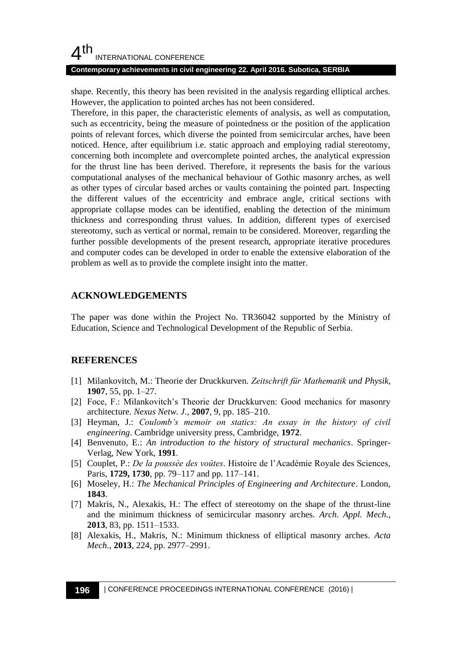## $4<sup>th</sup>$ INTERNATIONAL CONFERENCE

#### **Contemporary achievements in civil engineering 22. April 2016. Subotica, SERBIA**

shape. Recently, this theory has been revisited in the analysis regarding elliptical arches. However, the application to pointed arches has not been considered.

Therefore, in this paper, the characteristic elements of analysis, as well as computation, such as eccentricity, being the measure of pointedness or the position of the application points of relevant forces, which diverse the pointed from semicircular arches, have been noticed. Hence, after equilibrium i.e. static approach and employing radial stereotomy, concerning both incomplete and overcomplete pointed arches, the analytical expression for the thrust line has been derived. Therefore, it represents the basis for the various computational analyses of the mechanical behaviour of Gothic masonry arches, as well as other types of circular based arches or vaults containing the pointed part. Inspecting the different values of the eccentricity and embrace angle, critical sections with appropriate collapse modes can be identified, enabling the detection of the minimum thickness and corresponding thrust values. In addition, different types of exercised stereotomy, such as vertical or normal, remain to be considered. Moreover, regarding the further possible developments of the present research, appropriate iterative procedures and computer codes can be developed in order to enable the extensive elaboration of the problem as well as to provide the complete insight into the matter.

## **ACKNOWLEDGEMENTS**

The paper was done within the Project No. TR36042 supported by the Ministry of Education, Science and Technological Development of the Republic of Serbia.

## **REFERENCES**

- [1] Milankovitch, M.: Theorie der Druckkurven. *Zeitschrift für Mathematik und Physik,* **1907**, 55, pp. 1–27.
- [2] Foce, F.: Milankovitch's Theorie der Druckkurven: Good mechanics for masonry architecture. *Nexus Netw. J.*, **2007**, 9, pp. 185–210.
- [3] Heyman, J.: *Coulomb's memoir on statics: An essay in the history of civil engineering*. Cambridge university press, Cambridge, **1972**.
- [4] Benvenuto, E.: *An introduction to the history of structural mechanics*. Springer-Verlag, New York, **1991**.
- [5] Couplet, P.: *De la poussée des voûtes*. Histoire de l'Académie Royale des Sciences, Paris, **1729, 1730**, pp. 79–117 and pp. 117–141.
- [6] Moseley, H.: *The Mechanical Principles of Engineering and Architecture*. London, **1843**.
- [7] Makris, N., Alexakis, H.: The effect of stereotomy on the shape of the thrust-line and the minimum thickness of semicircular masonry arches. *Arch. Appl. Mech.,* **2013**, 83, pp. 1511–1533.
- [8] Alexakis, H., Makris, N.: Minimum thickness of elliptical masonry arches. *Acta Mech.,* **2013**, 224, pp. 2977–2991.